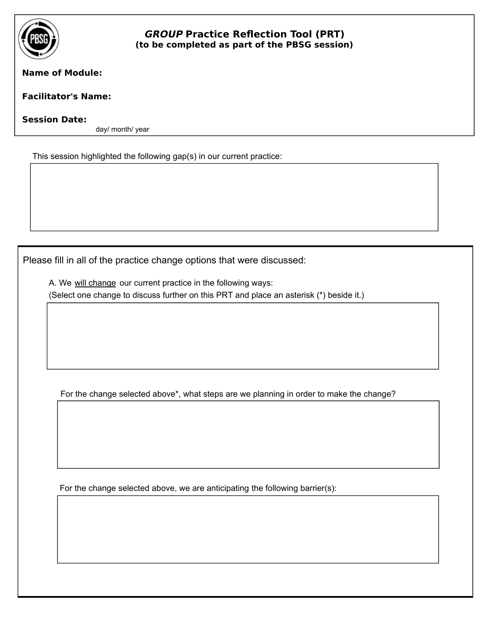

## **GROUP Practice Reflection Tool (PRT) (to be completed as part of the PBSG session)**

## **Name of Module:**

## **Facilitator's Name:**

## **Session Date:**

day/ month/ year

This session highlighted the following gap(s) in our current practice:

Please fill in all of the practice change options that were discussed:

A. We will change our current practice in the following ways: (Select one change to discuss further on this PRT and place an asterisk (\*) beside it.)

For the change selected above\*, what steps are we planning in order to make the change?

For the change selected above, we are anticipating the following barrier(s):